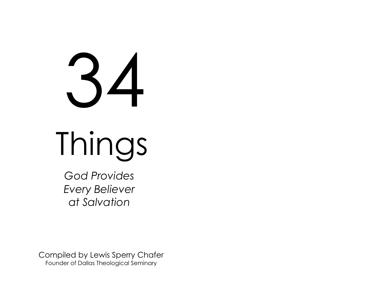# 34

Things

 *God Provides Every Believer at Salvation*

Compiled by Lewis Sperry Chafer Founder of Dallas Theological Seminary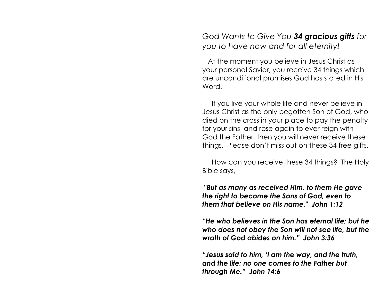*God Wants to Give You 34 gracious gifts for you to have now and for all eternity!*

 At the moment you believe in Jesus Christ as your personal Savior, you receive 34 things which are unconditional promises God has stated in His Word.

 If you live your whole life and never believe in Jesus Christ as the only begotten Son of God, who died on the cross in your place to pay the penalty for your sins, and rose again to ever reign with God the Father, then you will never receive these things. Please don't miss out on these 34 free gifts.

 How can you receive these 34 things? The Holy Bible says,

**"***But as many as received Him, to them He gave the right to become the Sons of God, even to them that believe on His name." John 1:12*

*"He who believes in the Son has eternal life; but he who does not obey the Son will not see life, but the wrath of God abides on him." John 3:36*

*"Jesus said to him, 'I am the way, and the truth, and the life; no one comes to the Father but through Me." John 14:6*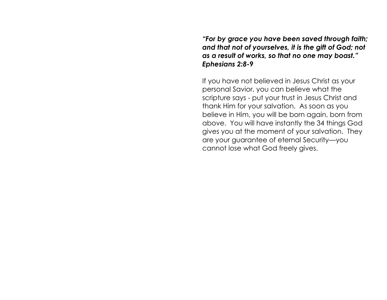*"For by grace you have been saved through faith; and that not of yourselves, it is the gift of God; not as a result of works, so that no one may boast." Ephesians 2:8-9*

If you have not believed in Jesus Christ as your personal Savior, you can believe what the scripture says - put your trust in Jesus Christ and thank Him for your salvation. As soon as you believe in Him, you will be born again, born from above. You will have instantly the 34 things God gives you at the moment of your salvation. They are your guarantee of eternal Security—you cannot lose what God freely gives.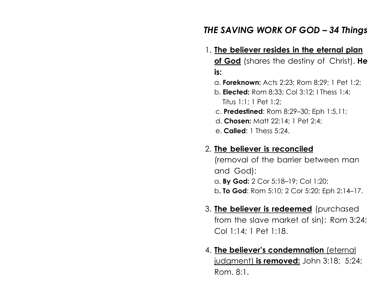# *THE SAVING WORK OF GOD – 34 Things*

- 1. **The believer resides in the eternal plan of God** (shares the destiny of Christ). **He is:**
	- a. **Foreknown:** Acts 2:23; Rom 8:29; 1 Pet 1:2;
	- b. **Elected:** Rom 8:33; Col 3:12; I Thess 1:4; Titus 1:1; 1 Pet 1:2;
	- c. **Predestined**: Rom 8:29–30; Eph 1:5,11;
	- d. **Chosen:** Matt 22:14; 1 Pet 2:4;
	- e. **Called**: 1 Thess 5:24.

#### 2. **The believer is reconciled**

(removal of the barrier between man and God): a. **By God:** 2 Cor 5:18–19; Col 1:20; b**. To God**: Rom 5:10; 2 Cor 5:20; Eph 2:14–17.

- 3. **The believer is redeemed** (purchased from the slave market of sin): Rom 3:24; Col 1:14; 1 Pet 1:18.
- 4. **The believer's condemnation** (eternal judgment) **is removed:** John 3:18; 5:24; Rom. 8:1.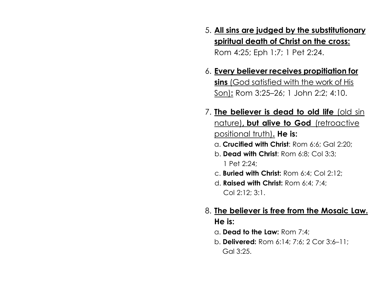- 5. **All sins are judged by the substitutionary spiritual death of Christ on the cross:** Rom 4:25; Eph 1:7; 1 Pet 2:24.
- 6. **Every believer receives propitiation for sins** (God satisfied with the work of His Son)**:** Rom 3:25–26; 1 John 2:2; 4:10.
- 7. **The believer is dead to old life** (old sin nature)**, but alive to God** (retroactive positional truth)**. He is:**
	- a. **Crucified with Christ**: Rom 6:6; Gal 2:20;
	- b. **Dead with Christ**: Rom 6:8; Col 3:3; 1 Pet 2:24;
	- c. **Buried with Christ:** Rom 6:4; Col 2:12;
	- d. **Raised with Christ:** Rom 6:4; 7:4; Col 2:12; 3:1.
- 8. **The believer is free from the Mosaic Law. He is:**
	- a. **Dead to the Law:** Rom 7:4;
	- b. **Delivered:** Rom 6:14; 7:6; 2 Cor 3:6–11; Gal 3:25.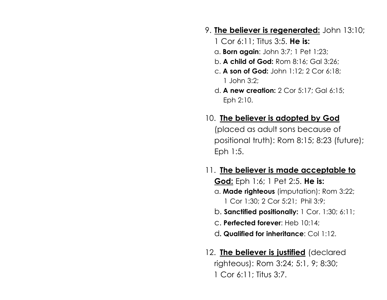### 9. **The believer is regenerated:** John 13:10;

- 1 Cor 6:11; Titus 3:5. **He is:**
- a. **Born again**: John 3:7; 1 Pet 1:23;
- b. **A child of God:** Rom 8:16; Gal 3:26;
- c. **A son of God:** John 1:12; 2 Cor 6:18; 1 John 3:2;
- d. **A new creation:** 2 Cor 5:17; Gal 6:15; Eph 2:10.

# 10. **The believer is adopted by God**

(placed as adult sons because of positional truth): Rom 8:15; 8:23 (future); Eph 1:5.

## 11. **The believer is made acceptable to**

**God:** Eph 1:6; 1 Pet 2:5. **He is:** a. **Made righteous** (imputation): Rom 3:22; 1 Cor 1:30; 2 Cor 5:21; Phil 3:9;

- b. **Sanctified positionally:** 1 Cor. 1:30; 6:11;
- c. **Perfected forever**: Heb 10:14;
- d**. Qualified for inheritance**: Col 1:12.
- 12. **The believer is justified** (declared righteous): Rom 3:24; 5:1, 9; 8:30; 1 Cor 6:11; Titus 3:7.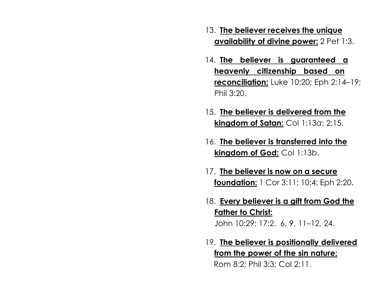- 13. **The believer receives the unique availability of divine power:** 2 Pet 1:3.
- 14. **The believer is guaranteed a heavenly citizenship based on reconciliation:** Luke 10:20; Eph 2:14–19; Phil 3:20.
- 15. **The believer is delivered from the kingdom of Satan:** Col 1:13*a*; 2:15.
- 16. **The believer is transferred into the kingdom of God:** Col 1:13*b*.
- 17. **The believer is now on a secure foundation:** 1 Cor 3:11; 10:4; Eph 2:20.
- 18. **Every believer is a gift from God the Father to Christ:** John 10:29; 17:2, 6, 9, 11–12, 24.
- 19. **The believer is positionally delivered from the power of the sin nature:** Rom 8:2; Phil 3:3; Col 2:11.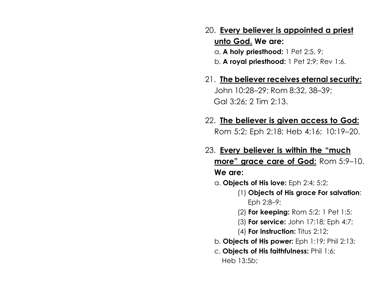20. **Every believer is appointed a priest unto God. We are:**

a. **A holy priesthood:** 1 Pet 2:5, 9; b. **A royal priesthood:** 1 Pet 2:9; Rev 1:6.

- 21. **The believer receives eternal security:** John 10:28–29; Rom 8:32, 38–39; Gal 3:26; 2 Tim 2:13.
- 22. **The believer is given access to God:** Rom 5:2; Eph 2:18; Heb 4:16; 10:19–20.
- 23. **Every believer is within the "much more" grace care of God:** Rom 5:9–10. **We are:**
	- a. **Objects of His love:** Eph 2:4; 5:2;
		- (1) **Objects of His grace For salvation**: Eph 2:8–9;
		- (2) **For keeping:** Rom 5:2; 1 Pet 1:5;
		- (3) **For service:** John 17:18; Eph 4:7;
		- (4) **For instruction:** Titus 2:12;
	- b. **Objects of His power:** Eph 1:19; Phil 2:13;
	- c. **Objects of His faithfulness:** Phil 1:6; Heb 13:5*b*;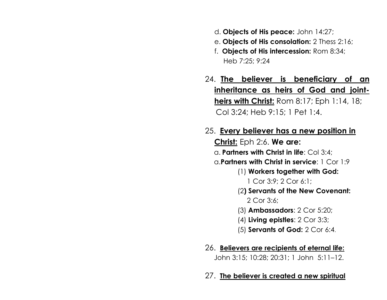- d. **Objects of His peace:** John 14:27;
- e. **Objects of His consolation:** 2 Thess 2:16;
- f. **Objects of His intercession:** Rom 8:34; Heb 7:25; 9:24
- 24. **The believer is beneficiary of an inheritance as heirs of God and jointheirs with Christ:** Rom 8:17; Eph 1:14, 18; Col 3:24; Heb 9:15; 1 Pet 1:4.
- 25. **Every believer has a new position in Christ:** Eph 2:6. **We are:** a. **Partners with Christ in life**: Col 3:4;
	- a.**Partners with Christ in service**: 1 Cor 1:9
		- (1) **Workers together with God:**
			- 1 Cor 3:9; 2 Cor 6:1;
		- (2**) Servants of the New Covenant:**
			- 2 Cor 3:6;
		- (3) **Ambassadors**: 2 Cor 5:20;
		- (4) **Living epistles**: 2 Cor 3:3;
		- (5) **Servants of God:** 2 Cor 6:4.
- 26. **Believers are recipients of eternal life:**

John 3:15; 10:28; 20:31; 1 John 5:11–12.

#### 27. **The believer is created a new spiritual**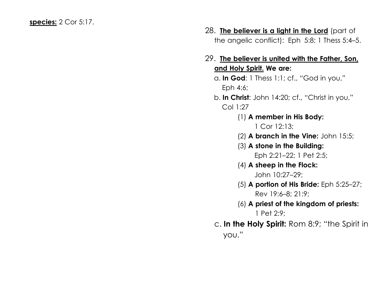- 28. **The believer is a light in the Lord** (part of the angelic conflict): Eph 5:8; 1 Thess 5:4–5.
- 29. **The believer is united with the Father, Son, and Holy Spirit. We are:**
	- a. **In God**: 1 Thess 1:1; cf., "God in you," Eph 4:6;
	- b. **In Christ**: John 14:20; cf., "Christ in you," Col 1:27
		- (1) **A member in His Body:**
			- 1 Cor 12:13;
		- (2) **A branch in the Vine:** John 15:5;
		- (3) **A stone in the Building:** Eph 2:21–22; 1 Pet 2:5;
		- (4) **A sheep in the Flock:** John 10:27–29;
		- (5) **A portion of His Bride:** Eph 5:25–27; Rev 19:6–8; 21:9;
		- (6) **A priest of the kingdom of priests:** 1 Pet 2:9;
	- c. **In the Holy Spirit:** Rom 8:9; "the Spirit in you."